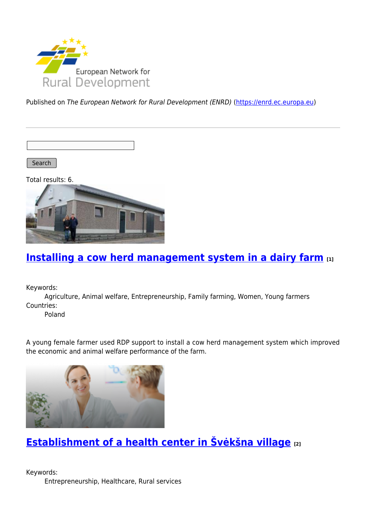

Published on The European Network for Rural Development (ENRD) [\(https://enrd.ec.europa.eu](https://enrd.ec.europa.eu))

Search

Total results: 6.



# **[Installing a cow herd management system in a dairy farm](https://enrd.ec.europa.eu/projects-practice/installing-cow-herd-management-system-dairy-farm_en) [1]**

Keywords:

Agriculture, Animal welfare, Entrepreneurship, Family farming, Women, Young farmers Countries:

Poland

A young female farmer used RDP support to install a cow herd management system which improved the economic and animal welfare performance of the farm.



# **[Establishment of a health center in Švėkšna village](https://enrd.ec.europa.eu/projects-practice/establishment-health-center-sveksna-village_en) [2]**

Keywords: Entrepreneurship, Healthcare, Rural services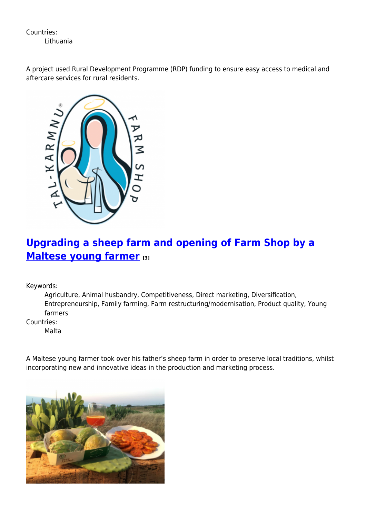Countries: Lithuania

A project used Rural Development Programme (RDP) funding to ensure easy access to medical and aftercare services for rural residents.



# **[Upgrading a sheep farm and opening of Farm Shop by a](https://enrd.ec.europa.eu/projects-practice/upgrading-sheep-farm-and-opening-farm-shop-maltese-young-farmer_en) [Maltese young farmer](https://enrd.ec.europa.eu/projects-practice/upgrading-sheep-farm-and-opening-farm-shop-maltese-young-farmer_en) [3]**

Keywords:

Agriculture, Animal husbandry, Competitiveness, Direct marketing, Diversification, Entrepreneurship, Family farming, Farm restructuring/modernisation, Product quality, Young farmers

Countries:

Malta

A Maltese young farmer took over his father's sheep farm in order to preserve local traditions, whilst incorporating new and innovative ideas in the production and marketing process.

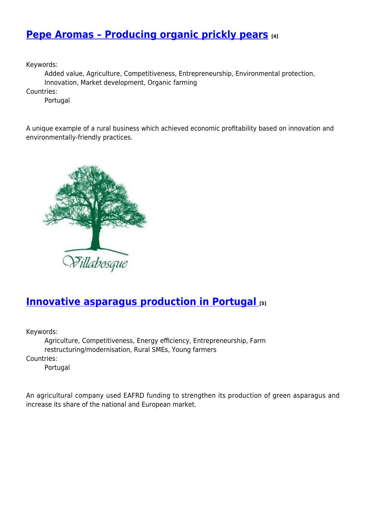### **[Pepe Aromas – Producing organic prickly pears](https://enrd.ec.europa.eu/projects-practice/pepe-aromas-producing-organic-prickly-pears_en) [4]**

Keywords:

Added value, Agriculture, Competitiveness, Entrepreneurship, Environmental protection, Innovation, Market development, Organic farming

Countries:

Portugal

A unique example of a rural business which achieved economic profitability based on innovation and environmentally-friendly practices.



#### **[Innovative asparagus production in Portugal](https://enrd.ec.europa.eu/projects-practice/innovative-asparagus-production-portugal_en) [5]**

Keywords:

Agriculture, Competitiveness, Energy efficiency, Entrepreneurship, Farm restructuring/modernisation, Rural SMEs, Young farmers Countries:

Portugal

An agricultural company used EAFRD funding to strengthen its production of green asparagus and increase its share of the national and European market.